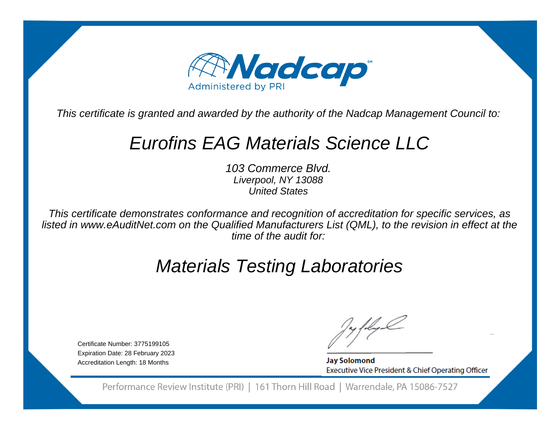

This certificate is granted and awarded by the authority of the Nadcap Management Council to:

## Eurofins EAG Materials Science LLC

103 Commerce Blvd.Liverpool, NY 13088United States

This certificate demonstrates conformance and recognition of accreditation for specific services, as listed in www.eAuditNet.com on the Qualified Manufacturers List (QML), to the revision in effect at thetime of the audit for:

# Materials Testing Laboratories

Certificate Number: 3775199105 Expiration Date: 28 February 2023Accreditation Length: 18 Months

**Jay Solomond** Executive Vice President & Chief Operating Officer

Performance Review Institute (PRI) | 161 Thorn Hill Road | Warrendale, PA 15086-7527